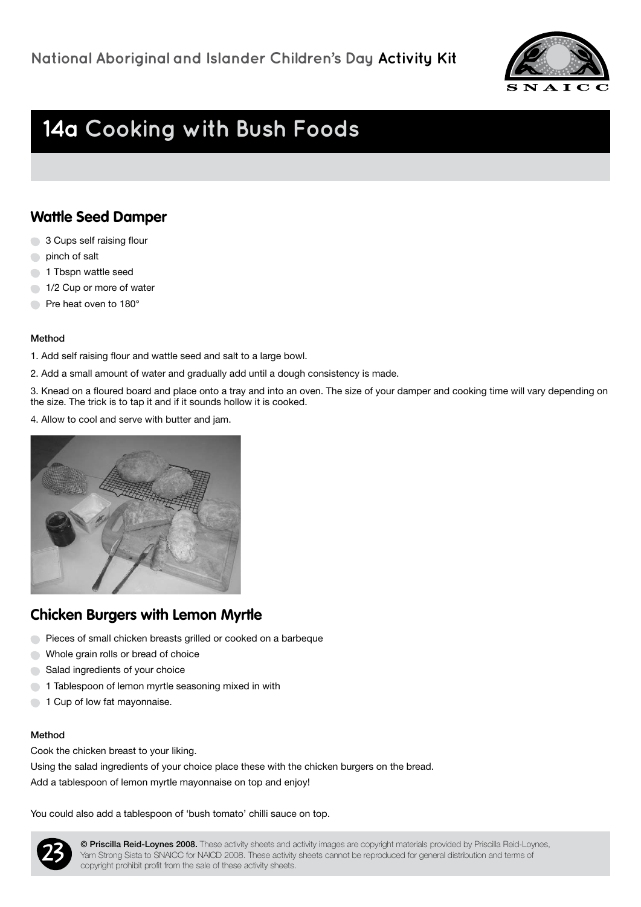

# **14a Cooking with Bush Foods**

### **Wattle Seed Damper**

- 3 Cups self raising flour
- pinch of salt
- **1** Tbspn wattle seed
- 1/2 Cup or more of water
- Pre heat oven to 180<sup>°</sup>

### Method

- 1. Add self raising flour and wattle seed and salt to a large bowl.
- 2. Add a small amount of water and gradually add until a dough consistency is made.

3. Knead on a floured board and place onto a tray and into an oven. The size of your damper and cooking time will vary depending on the size. The trick is to tap it and if it sounds hollow it is cooked.

4. Allow to cool and serve with butter and jam.



## **Chicken Burgers with Lemon Myrtle**

- Pieces of small chicken breasts grilled or cooked on a barbeque
- Whole grain rolls or bread of choice
- Salad ingredients of your choice
- 1 Tablespoon of lemon myrtle seasoning mixed in with
- 1 Cup of low fat mayonnaise.

### Method

Cook the chicken breast to your liking.

Using the salad ingredients of your choice place these with the chicken burgers on the bread.

Add a tablespoon of lemon myrtle mayonnaise on top and enjoy!

You could also add a tablespoon of 'bush tomato' chilli sauce on top.